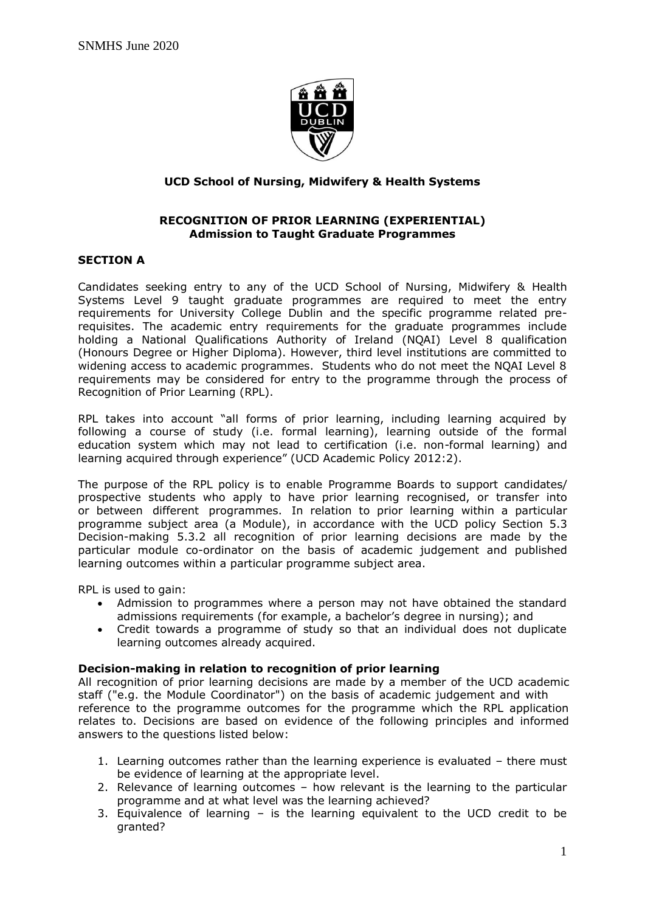

### **UCD School of Nursing, Midwifery & Health Systems**

#### **RECOGNITION OF PRIOR LEARNING (EXPERIENTIAL) Admission to Taught Graduate Programmes**

### **SECTION A**

Candidates seeking entry to any of the UCD School of Nursing, Midwifery & Health Systems Level 9 taught graduate programmes are required to meet the entry requirements for University College Dublin and the specific programme related prerequisites. The academic entry requirements for the graduate programmes include holding a National Qualifications Authority of Ireland (NQAI) Level 8 qualification (Honours Degree or Higher Diploma). However, third level institutions are committed to widening access to academic programmes. Students who do not meet the NQAI Level 8 requirements may be considered for entry to the programme through the process of Recognition of Prior Learning (RPL).

RPL takes into account "all forms of prior learning, including learning acquired by following a course of study (i.e. formal learning), learning outside of the formal education system which may not lead to certification (i.e. non-formal learning) and learning acquired through experience" (UCD Academic Policy 2012:2).

The purpose of the RPL policy is to enable Programme Boards to support candidates/ prospective students who apply to have prior learning recognised, or transfer into or between different programmes. In relation to prior learning within a particular programme subject area (a Module), in accordance with the UCD policy Section 5.3 Decision-making 5.3.2 all recognition of prior learning decisions are made by the particular module co-ordinator on the basis of academic judgement and published learning outcomes within a particular programme subject area.

RPL is used to gain:

- Admission to programmes where a person may not have obtained the standard admissions requirements (for example, a bachelor's degree in nursing); and
- Credit towards a programme of study so that an individual does not duplicate learning outcomes already acquired.

#### **Decision-making in relation to recognition of prior learning**

All recognition of prior learning decisions are made by a member of the UCD academic staff ("e.g. the Module Coordinator") on the basis of academic judgement and with reference to the programme outcomes for the programme which the RPL application relates to. Decisions are based on evidence of the following principles and informed answers to the questions listed below:

- 1. Learning outcomes rather than the learning experience is evaluated there must be evidence of learning at the appropriate level.
- 2. Relevance of learning outcomes how relevant is the learning to the particular programme and at what level was the learning achieved?
- 3. Equivalence of learning is the learning equivalent to the UCD credit to be granted?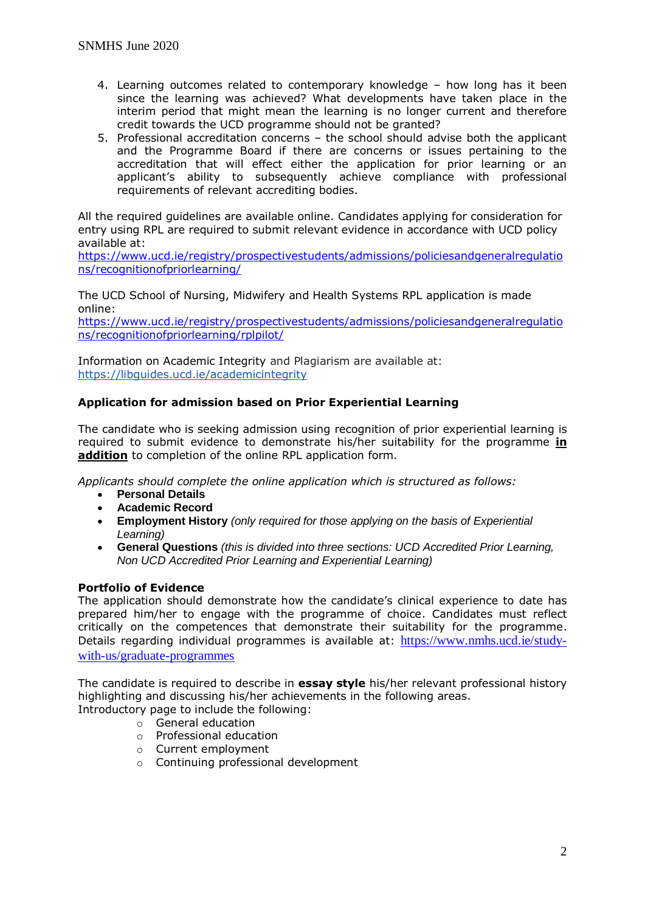- 4. Learning outcomes related to contemporary knowledge how long has it been since the learning was achieved? What developments have taken place in the interim period that might mean the learning is no longer current and therefore credit towards the UCD programme should not be granted?
- 5. Professional accreditation concerns the school should advise both the applicant and the Programme Board if there are concerns or issues pertaining to the accreditation that will effect either the application for prior learning or an applicant's ability to subsequently achieve compliance with professional requirements of relevant accrediting bodies.

All the required guidelines are available online. Candidates applying for consideration for entry using RPL are required to submit relevant evidence in accordance with UCD policy available at:

[https://www.ucd.ie/registry/prospectivestudents/admissions/policiesandgeneralregulatio](https://www.ucd.ie/registry/prospectivestudents/admissions/policiesandgeneralregulations/recognitionofpriorlearning/) [ns/recognitionofpriorlearning/](https://www.ucd.ie/registry/prospectivestudents/admissions/policiesandgeneralregulations/recognitionofpriorlearning/)

The UCD School of Nursing, Midwifery and Health Systems RPL application is made online:

[https://www.ucd.ie/registry/prospectivestudents/admissions/policiesandgeneralregulatio](https://www.ucd.ie/registry/prospectivestudents/admissions/policiesandgeneralregulations/recognitionofpriorlearning/rplpilot/) [ns/recognitionofpriorlearning/rplpilot/](https://www.ucd.ie/registry/prospectivestudents/admissions/policiesandgeneralregulations/recognitionofpriorlearning/rplpilot/)

Information on Academic Integrity and Plagiarism are available at: <https://libguides.ucd.ie/academicintegrity>

## **Application for admission based on Prior Experiential Learning**

The candidate who is seeking admission using recognition of prior experiential learning is required to submit evidence to demonstrate his/her suitability for the programme **in addition** to completion of the online RPL application form.

*Applicants should complete the online application which is structured as follows:* 

- **Personal Details**
- **Academic Record**
- **Employment History** *(only required for those applying on the basis of Experiential Learning)*
- **General Questions** *(this is divided into three sections: UCD Accredited Prior Learning, Non UCD Accredited Prior Learning and Experiential Learning)*

### **Portfolio of Evidence**

The application should demonstrate how the candidate's clinical experience to date has prepared him/her to engage with the programme of choice. Candidates must reflect critically on the competences that demonstrate their suitability for the programme. Details regarding individual programmes is available at: [https://www.nmhs.ucd.ie/study](https://www.nmhs.ucd.ie/study-with-us/graduate-programmes)[with-us/graduate-programmes](https://www.nmhs.ucd.ie/study-with-us/graduate-programmes)

The candidate is required to describe in **essay style** his/her relevant professional history highlighting and discussing his/her achievements in the following areas.

Introductory page to include the following:

- o General education
- o Professional education
- o Current employment
- o Continuing professional development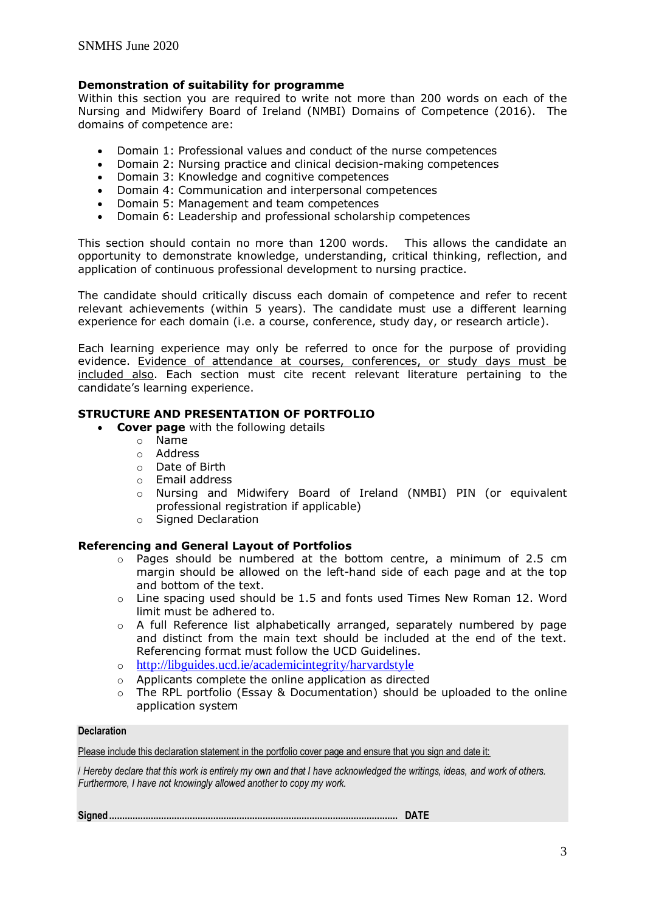### **Demonstration of suitability for programme**

Within this section you are required to write not more than 200 words on each of the Nursing and Midwifery Board of Ireland (NMBI) Domains of Competence (2016). The domains of competence are:

- Domain 1: Professional values and conduct of the nurse competences
- Domain 2: Nursing practice and clinical decision-making competences
- Domain 3: Knowledge and cognitive competences
- Domain 4: Communication and interpersonal competences
- Domain 5: Management and team competences
- Domain 6: Leadership and professional scholarship competences

This section should contain no more than 1200 words. This allows the candidate an opportunity to demonstrate knowledge, understanding, critical thinking, reflection, and application of continuous professional development to nursing practice.

The candidate should critically discuss each domain of competence and refer to recent relevant achievements (within 5 years). The candidate must use a different learning experience for each domain (i.e. a course, conference, study day, or research article).

Each learning experience may only be referred to once for the purpose of providing evidence. Evidence of attendance at courses, conferences, or study days must be included also. Each section must cite recent relevant literature pertaining to the candidate's learning experience.

### **STRUCTURE AND PRESENTATION OF PORTFOLIO**

- **Cover page** with the following details
	- o Name
	- o Address
	- o Date of Birth
	- o Email address
	- Nursing and Midwifery Board of Ireland (NMBI) PIN (or equivalent professional registration if applicable)
	- o Signed Declaration

### **Referencing and General Layout of Portfolios**

- o Pages should be numbered at the bottom centre, a minimum of 2.5 cm margin should be allowed on the left-hand side of each page and at the top and bottom of the text.
- o Line spacing used should be 1.5 and fonts used Times New Roman 12. Word limit must be adhered to.
- $\circ$  A full Reference list alphabetically arranged, separately numbered by page and distinct from the main text should be included at the end of the text. Referencing format must follow the UCD Guidelines.
- o <http://libguides.ucd.ie/academicintegrity/harvardstyle>
- o Applicants complete the online application as directed
- o The RPL portfolio (Essay & Documentation) should be uploaded to the online application system

#### **Declaration**

Please include this declaration statement in the portfolio cover page and ensure that you sign and date it:

/ *Hereby declare that this work is entirely my own and that I have acknowledged the writings, ideas, and work of others. Furthermore, I have not knowingly allowed another to copy my work.*

**Signed............................................................................................................... DATE**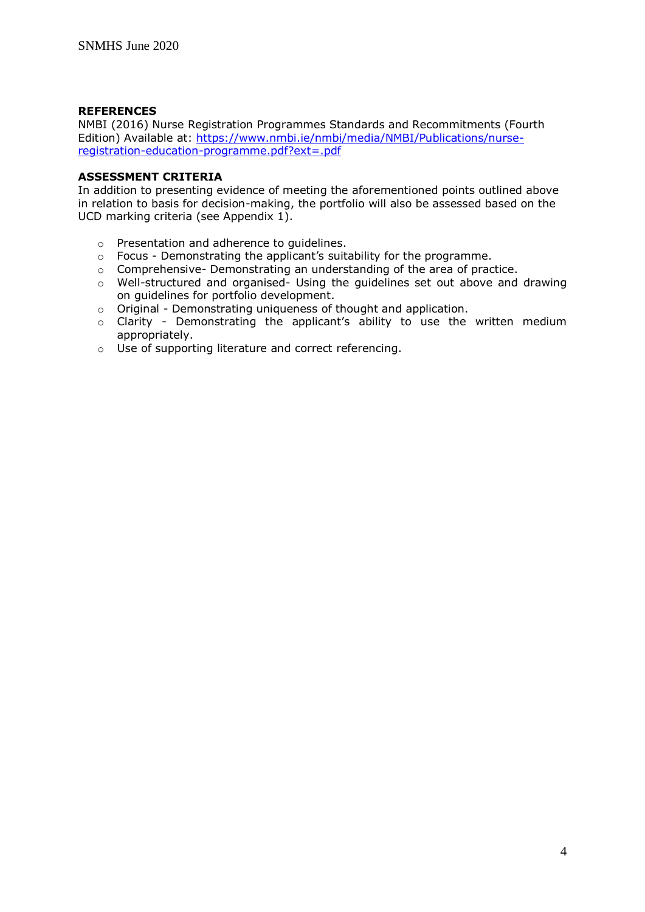### **REFERENCES**

NMBI (2016) Nurse Registration Programmes Standards and Recommitments (Fourth Edition) Available at: [https://www.nmbi.ie/nmbi/media/NMBI/Publications/nurse](https://www.nmbi.ie/nmbi/media/NMBI/Publications/nurse-registration-education-programme.pdf?ext=.pdf)[registration-education-programme.pdf?ext=.pdf](https://www.nmbi.ie/nmbi/media/NMBI/Publications/nurse-registration-education-programme.pdf?ext=.pdf)

#### **ASSESSMENT CRITERIA**

In addition to presenting evidence of meeting the aforementioned points outlined above in relation to basis for decision-making, the portfolio will also be assessed based on the UCD marking criteria (see Appendix 1).

- o Presentation and adherence to guidelines.
- o Focus Demonstrating the applicant's suitability for the programme.
- o Comprehensive- Demonstrating an understanding of the area of practice.
- $\circ$  Well-structured and organised- Using the quidelines set out above and drawing on guidelines for portfolio development.
- o Original Demonstrating uniqueness of thought and application.
- o Clarity Demonstrating the applicant's ability to use the written medium appropriately.
- o Use of supporting literature and correct referencing.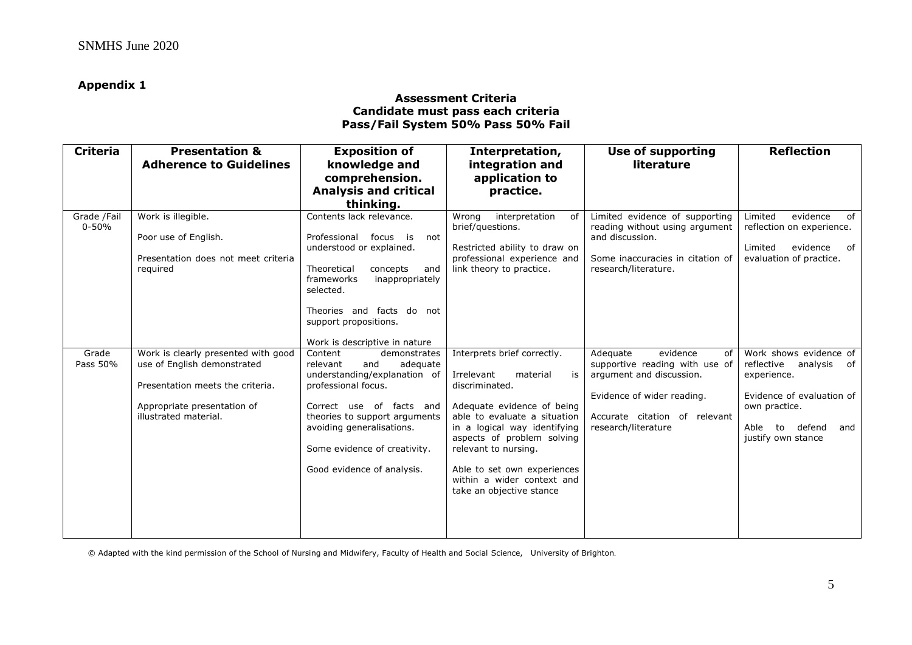### **Appendix 1**

#### **Assessment Criteria Candidate must pass each criteria Pass/Fail System 50% Pass 50% Fail**

| <b>Criteria</b>          | <b>Presentation &amp;</b><br><b>Adherence to Guidelines</b>                                                                                                    | <b>Exposition of</b><br>knowledge and<br>comprehension.<br><b>Analysis and critical</b>                                                                                                                                                                               | Interpretation,<br>integration and<br>application to<br>practice.                                                                                                                                                                                                                                                          | <b>Use of supporting</b><br>literature                                                                                                                                         | <b>Reflection</b>                                                                                                                                                  |
|--------------------------|----------------------------------------------------------------------------------------------------------------------------------------------------------------|-----------------------------------------------------------------------------------------------------------------------------------------------------------------------------------------------------------------------------------------------------------------------|----------------------------------------------------------------------------------------------------------------------------------------------------------------------------------------------------------------------------------------------------------------------------------------------------------------------------|--------------------------------------------------------------------------------------------------------------------------------------------------------------------------------|--------------------------------------------------------------------------------------------------------------------------------------------------------------------|
|                          |                                                                                                                                                                | thinking.                                                                                                                                                                                                                                                             |                                                                                                                                                                                                                                                                                                                            |                                                                                                                                                                                |                                                                                                                                                                    |
| Grade /Fail<br>$0 - 50%$ | Work is illegible.<br>Poor use of English.<br>Presentation does not meet criteria<br>required                                                                  | Contents lack relevance.<br>Professional focus is<br>not<br>understood or explained.<br>Theoretical<br>concepts<br>and<br>frameworks<br>inappropriately<br>selected.<br>Theories and facts do not<br>support propositions.                                            | interpretation<br>Wrona<br>of l<br>brief/questions.<br>Restricted ability to draw on<br>professional experience and<br>link theory to practice.                                                                                                                                                                            | Limited evidence of supporting<br>reading without using argument<br>and discussion.<br>Some inaccuracies in citation of<br>research/literature.                                | Limited<br>evidence<br>of<br>reflection on experience.<br>Limited<br>evidence<br>of<br>evaluation of practice.                                                     |
|                          |                                                                                                                                                                | Work is descriptive in nature                                                                                                                                                                                                                                         |                                                                                                                                                                                                                                                                                                                            |                                                                                                                                                                                |                                                                                                                                                                    |
| Grade<br>Pass 50%        | Work is clearly presented with good<br>use of English demonstrated<br>Presentation meets the criteria.<br>Appropriate presentation of<br>illustrated material. | Content<br>demonstrates<br>relevant<br>adequate<br>and<br>understanding/explanation of<br>professional focus.<br>Correct use of facts and<br>theories to support arguments<br>avoiding generalisations.<br>Some evidence of creativity.<br>Good evidence of analysis. | Interprets brief correctly.<br>Irrelevant<br>material<br>is<br>discriminated.<br>Adequate evidence of being<br>able to evaluate a situation<br>in a logical way identifying<br>aspects of problem solving<br>relevant to nursing.<br>Able to set own experiences<br>within a wider context and<br>take an objective stance | evidence<br>Adequate<br>of<br>supportive reading with use of<br>argument and discussion.<br>Evidence of wider reading.<br>Accurate citation of relevant<br>research/literature | Work shows evidence of<br>reflective<br>analysis of<br>experience.<br>Evidence of evaluation of<br>own practice.<br>defend<br>Able to<br>and<br>justify own stance |

© Adapted with the kind permission of the School of Nursing and Midwifery, Faculty of Health and Social Science, University of Brighton.